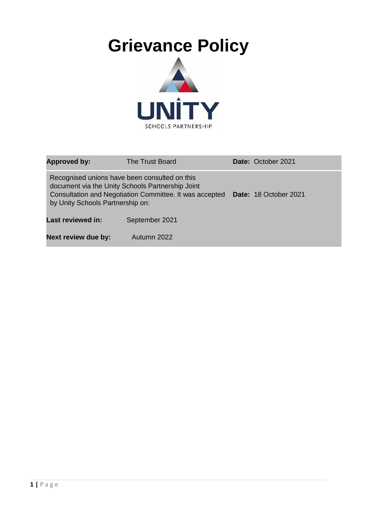

| <b>Approved by:</b><br>The Trust Board                                                                                                                                                           |                | <b>Date: October 2021</b> |
|--------------------------------------------------------------------------------------------------------------------------------------------------------------------------------------------------|----------------|---------------------------|
| Recognised unions have been consulted on this<br>document via the Unity Schools Partnership Joint<br>Consultation and Negotiation Committee. It was accepted<br>by Unity Schools Partnership on: |                | Date: 18 October 2021     |
| <b>Last reviewed in:</b>                                                                                                                                                                         | September 2021 |                           |
| Next review due by:                                                                                                                                                                              | Autumn 2022    |                           |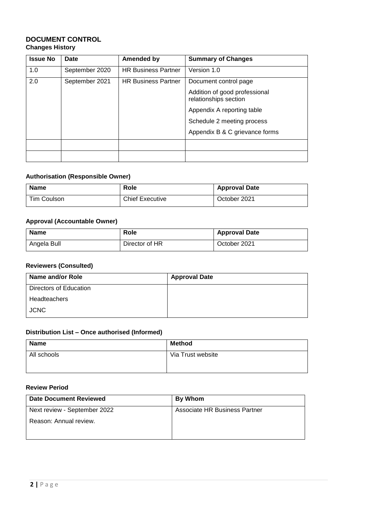#### **DOCUMENT CONTROL Changes History**

| <b>Issue No</b> | Date           | Amended by                 | <b>Summary of Changes</b>                              |
|-----------------|----------------|----------------------------|--------------------------------------------------------|
| 1.0             | September 2020 | <b>HR Business Partner</b> | Version 1.0                                            |
| 2.0             | September 2021 | <b>HR Business Partner</b> | Document control page                                  |
|                 |                |                            | Addition of good professional<br>relationships section |
|                 |                |                            | Appendix A reporting table                             |
|                 |                |                            | Schedule 2 meeting process                             |
|                 |                |                            | Appendix B & C grievance forms                         |
|                 |                |                            |                                                        |
|                 |                |                            |                                                        |

#### **Authorisation (Responsible Owner)**

| <b>Name</b> | Role                   | <b>Approval Date</b> |
|-------------|------------------------|----------------------|
| Tim Coulson | <b>Chief Executive</b> | October 2021         |

#### **Approval (Accountable Owner)**

| <b>Name</b> | <b>Role</b>    | <b>Approval Date</b> |
|-------------|----------------|----------------------|
| Angela Bull | Director of HR | October 2021         |

## **Reviewers (Consulted)**

| Name and/or Role       | <b>Approval Date</b> |
|------------------------|----------------------|
| Directors of Education |                      |
| Headteachers           |                      |
| <b>JCNC</b>            |                      |

## **Distribution List – Once authorised (Informed)**

| <b>Name</b> | <b>Method</b>     |
|-------------|-------------------|
| All schools | Via Trust website |
|             |                   |

#### **Review Period**

| Date Document Reviewed       | By Whom                       |
|------------------------------|-------------------------------|
| Next review - September 2022 | Associate HR Business Partner |
| Reason: Annual review.       |                               |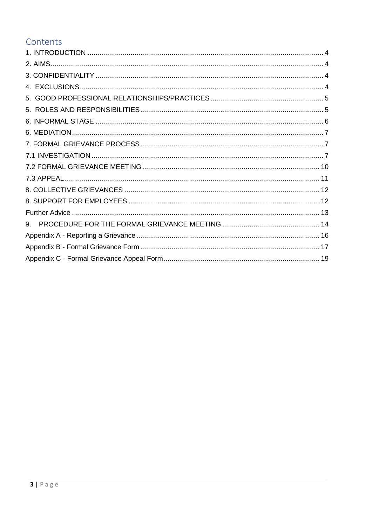# Contents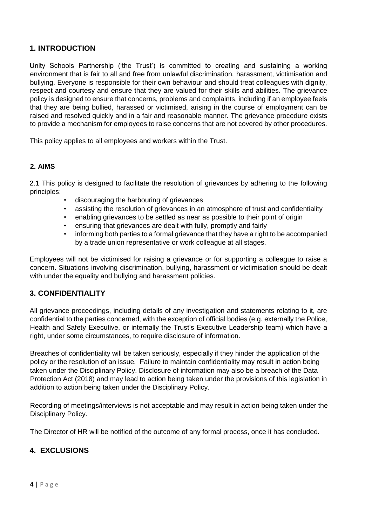# <span id="page-3-0"></span>**1. INTRODUCTION**

Unity Schools Partnership ('the Trust') is committed to creating and sustaining a working environment that is fair to all and free from unlawful discrimination, harassment, victimisation and bullying. Everyone is responsible for their own behaviour and should treat colleagues with dignity, respect and courtesy and ensure that they are valued for their skills and abilities. The grievance policy is designed to ensure that concerns, problems and complaints, including if an employee feels that they are being bullied, harassed or victimised, arising in the course of employment can be raised and resolved quickly and in a fair and reasonable manner. The grievance procedure exists to provide a mechanism for employees to raise concerns that are not covered by other procedures.

This policy applies to all employees and workers within the Trust.

#### <span id="page-3-1"></span>**2. AIMS**

2.1 This policy is designed to facilitate the resolution of grievances by adhering to the following principles:

- discouraging the harbouring of grievances
- assisting the resolution of grievances in an atmosphere of trust and confidentiality
- enabling grievances to be settled as near as possible to their point of origin
- ensuring that grievances are dealt with fully, promptly and fairly
- informing both parties to a formal grievance that they have a right to be accompanied by a trade union representative or work colleague at all stages.

Employees will not be victimised for raising a grievance or for supporting a colleague to raise a concern. Situations involving discrimination, bullying, harassment or victimisation should be dealt with under the equality and bullying and harassment policies.

### <span id="page-3-2"></span>**3. CONFIDENTIALITY**

All grievance proceedings, including details of any investigation and statements relating to it, are confidential to the parties concerned, with the exception of official bodies (e.g. externally the Police, Health and Safety Executive, or internally the Trust's Executive Leadership team) which have a right, under some circumstances, to require disclosure of information.

Breaches of confidentiality will be taken seriously, especially if they hinder the application of the policy or the resolution of an issue. Failure to maintain confidentiality may result in action being taken under the Disciplinary Policy. Disclosure of information may also be a breach of the Data Protection Act (2018) and may lead to action being taken under the provisions of this legislation in addition to action being taken under the Disciplinary Policy.

Recording of meetings/interviews is not acceptable and may result in action being taken under the Disciplinary Policy.

The Director of HR will be notified of the outcome of any formal process, once it has concluded.

### <span id="page-3-3"></span>**4. EXCLUSIONS**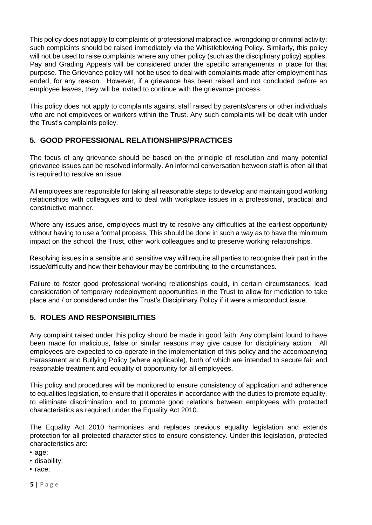This policy does not apply to complaints of professional malpractice, wrongdoing or criminal activity: such complaints should be raised immediately via the Whistleblowing Policy. Similarly, this policy will not be used to raise complaints where any other policy (such as the disciplinary policy) applies. Pay and Grading Appeals will be considered under the specific arrangements in place for that purpose. The Grievance policy will not be used to deal with complaints made after employment has ended, for any reason. However, if a grievance has been raised and not concluded before an employee leaves, they will be invited to continue with the grievance process.

This policy does not apply to complaints against staff raised by parents/carers or other individuals who are not employees or workers within the Trust. Any such complaints will be dealt with under the Trust's complaints policy.

# <span id="page-4-0"></span>**5. GOOD PROFESSIONAL RELATIONSHIPS/PRACTICES**

The focus of any grievance should be based on the principle of resolution and many potential grievance issues can be resolved informally. An informal conversation between staff is often all that is required to resolve an issue.

All employees are responsible for taking all reasonable steps to develop and maintain good working relationships with colleagues and to deal with workplace issues in a professional, practical and constructive manner.

Where any issues arise, employees must try to resolve any difficulties at the earliest opportunity without having to use a formal process. This should be done in such a way as to have the minimum impact on the school, the Trust, other work colleagues and to preserve working relationships.

Resolving issues in a sensible and sensitive way will require all parties to recognise their part in the issue/difficulty and how their behaviour may be contributing to the circumstances.

Failure to foster good professional working relationships could, in certain circumstances, lead consideration of temporary redeployment opportunities in the Trust to allow for mediation to take place and / or considered under the Trust's Disciplinary Policy if it were a misconduct issue.

# <span id="page-4-1"></span>**5. ROLES AND RESPONSIBILITIES**

Any complaint raised under this policy should be made in good faith. Any complaint found to have been made for malicious, false or similar reasons may give cause for disciplinary action. All employees are expected to co-operate in the implementation of this policy and the accompanying Harassment and Bullying Policy (where applicable), both of which are intended to secure fair and reasonable treatment and equality of opportunity for all employees.

This policy and procedures will be monitored to ensure consistency of application and adherence to equalities legislation, to ensure that it operates in accordance with the duties to promote equality, to eliminate discrimination and to promote good relations between employees with protected characteristics as required under the Equality Act 2010.

The Equality Act 2010 harmonises and replaces previous equality legislation and extends protection for all protected characteristics to ensure consistency. Under this legislation, protected characteristics are:

• age;

• disability;

• race;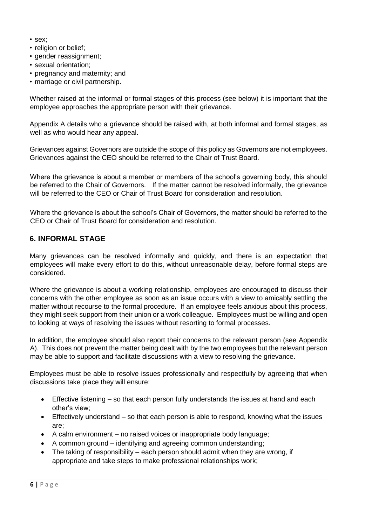- sex;
- religion or belief;
- gender reassignment;
- sexual orientation;
- pregnancy and maternity; and
- marriage or civil partnership.

Whether raised at the informal or formal stages of this process (see below) it is important that the employee approaches the appropriate person with their grievance.

Appendix A details who a grievance should be raised with, at both informal and formal stages, as well as who would hear any appeal.

Grievances against Governors are outside the scope of this policy as Governors are not employees. Grievances against the CEO should be referred to the Chair of Trust Board.

Where the grievance is about a member or members of the school's governing body, this should be referred to the Chair of Governors. If the matter cannot be resolved informally, the grievance will be referred to the CEO or Chair of Trust Board for consideration and resolution.

Where the grievance is about the school's Chair of Governors, the matter should be referred to the CEO or Chair of Trust Board for consideration and resolution.

## <span id="page-5-0"></span>**6. INFORMAL STAGE**

Many grievances can be resolved informally and quickly, and there is an expectation that employees will make every effort to do this, without unreasonable delay, before formal steps are considered.

Where the grievance is about a working relationship, employees are encouraged to discuss their concerns with the other employee as soon as an issue occurs with a view to amicably settling the matter without recourse to the formal procedure. If an employee feels anxious about this process, they might seek support from their union or a work colleague. Employees must be willing and open to looking at ways of resolving the issues without resorting to formal processes.

In addition, the employee should also report their concerns to the relevant person (see Appendix A). This does not prevent the matter being dealt with by the two employees but the relevant person may be able to support and facilitate discussions with a view to resolving the grievance.

Employees must be able to resolve issues professionally and respectfully by agreeing that when discussions take place they will ensure:

- Effective listening so that each person fully understands the issues at hand and each other's view;
- Effectively understand so that each person is able to respond, knowing what the issues are;
- A calm environment no raised voices or inappropriate body language;
- A common ground identifying and agreeing common understanding;
- The taking of responsibility each person should admit when they are wrong, if appropriate and take steps to make professional relationships work;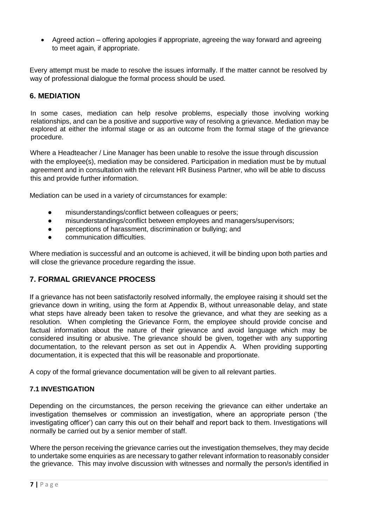• Agreed action – offering apologies if appropriate, agreeing the way forward and agreeing to meet again, if appropriate.

Every attempt must be made to resolve the issues informally. If the matter cannot be resolved by way of professional dialogue the formal process should be used.

# <span id="page-6-0"></span>**6. MEDIATION**

In some cases, mediation can help resolve problems, especially those involving working relationships, and can be a positive and supportive way of resolving a grievance. Mediation may be explored at either the informal stage or as an outcome from the formal stage of the grievance procedure.

Where a Headteacher / Line Manager has been unable to resolve the issue through discussion with the employee(s), mediation may be considered. Participation in mediation must be by mutual agreement and in consultation with the relevant HR Business Partner, who will be able to discuss this and provide further information.

Mediation can be used in a variety of circumstances for example:

- misunderstandings/conflict between colleagues or peers;
- misunderstandings/conflict between employees and managers/supervisors;
- perceptions of harassment, discrimination or bullying; and
- communication difficulties

Where mediation is successful and an outcome is achieved, it will be binding upon both parties and will close the grievance procedure regarding the issue.

# <span id="page-6-1"></span>**7. FORMAL GRIEVANCE PROCESS**

If a grievance has not been satisfactorily resolved informally, the employee raising it should set the grievance down in writing, using the form at Appendix B, without unreasonable delay, and state what steps have already been taken to resolve the grievance, and what they are seeking as a resolution. When completing the Grievance Form, the employee should provide concise and factual information about the nature of their grievance and avoid language which may be considered insulting or abusive. The grievance should be given, together with any supporting documentation, to the relevant person as set out in Appendix A. When providing supporting documentation, it is expected that this will be reasonable and proportionate.

A copy of the formal grievance documentation will be given to all relevant parties.

#### <span id="page-6-2"></span>**7.1 INVESTIGATION**

Depending on the circumstances, the person receiving the grievance can either undertake an investigation themselves or commission an investigation, where an appropriate person ('the investigating officer') can carry this out on their behalf and report back to them. Investigations will normally be carried out by a senior member of staff.

Where the person receiving the grievance carries out the investigation themselves, they may decide to undertake some enquiries as are necessary to gather relevant information to reasonably consider the grievance. This may involve discussion with witnesses and normally the person/s identified in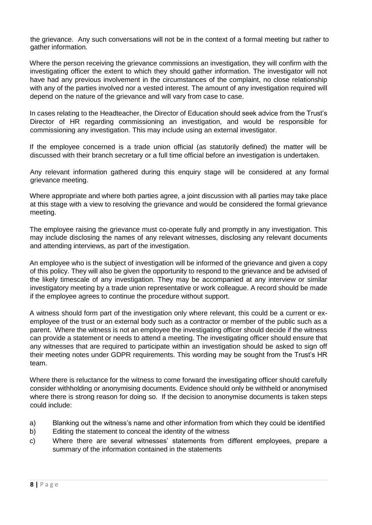the grievance. Any such conversations will not be in the context of a formal meeting but rather to gather information.

Where the person receiving the grievance commissions an investigation, they will confirm with the investigating officer the extent to which they should gather information. The investigator will not have had any previous involvement in the circumstances of the complaint, no close relationship with any of the parties involved nor a vested interest. The amount of any investigation required will depend on the nature of the grievance and will vary from case to case.

In cases relating to the Headteacher, the Director of Education should seek advice from the Trust's Director of HR regarding commissioning an investigation, and would be responsible for commissioning any investigation. This may include using an external investigator.

If the employee concerned is a trade union official (as statutorily defined) the matter will be discussed with their branch secretary or a full time official before an investigation is undertaken.

Any relevant information gathered during this enquiry stage will be considered at any formal grievance meeting.

Where appropriate and where both parties agree, a joint discussion with all parties may take place at this stage with a view to resolving the grievance and would be considered the formal grievance meeting.

The employee raising the grievance must co-operate fully and promptly in any investigation. This may include disclosing the names of any relevant witnesses, disclosing any relevant documents and attending interviews, as part of the investigation.

An employee who is the subject of investigation will be informed of the grievance and given a copy of this policy. They will also be given the opportunity to respond to the grievance and be advised of the likely timescale of any investigation. They may be accompanied at any interview or similar investigatory meeting by a trade union representative or work colleague. A record should be made if the employee agrees to continue the procedure without support.

A witness should form part of the investigation only where relevant, this could be a current or exemployee of the trust or an external body such as a contractor or member of the public such as a parent. Where the witness is not an employee the investigating officer should decide if the witness can provide a statement or needs to attend a meeting. The investigating officer should ensure that any witnesses that are required to participate within an investigation should be asked to sign off their meeting notes under GDPR requirements. This wording may be sought from the Trust's HR team.

Where there is reluctance for the witness to come forward the investigating officer should carefully consider withholding or anonymising documents. Evidence should only be withheld or anonymised where there is strong reason for doing so. If the decision to anonymise documents is taken steps could include:

- a) Blanking out the witness's name and other information from which they could be identified
- b) Editing the statement to conceal the identity of the witness
- c) Where there are several witnesses' statements from different employees, prepare a summary of the information contained in the statements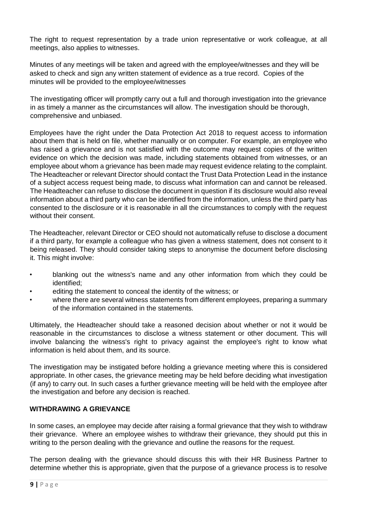The right to request representation by a trade union representative or work colleague, at all meetings, also applies to witnesses.

Minutes of any meetings will be taken and agreed with the employee/witnesses and they will be asked to check and sign any written statement of evidence as a true record. Copies of the minutes will be provided to the employee/witnesses

The investigating officer will promptly carry out a full and thorough investigation into the grievance in as timely a manner as the circumstances will allow. The investigation should be thorough, comprehensive and unbiased.

Employees have the right under the Data Protection Act 2018 to request access to information about them that is held on file, whether manually or on computer. For example, an employee who has raised a grievance and is not satisfied with the outcome may request copies of the written evidence on which the decision was made, including statements obtained from witnesses, or an employee about whom a grievance has been made may request evidence relating to the complaint. The Headteacher or relevant Director should contact the Trust Data Protection Lead in the instance of a subject access request being made, to discuss what information can and cannot be released. The Headteacher can refuse to disclose the document in question if its disclosure would also reveal information about a third party who can be identified from the information, unless the third party has consented to the disclosure or it is reasonable in all the circumstances to comply with the request without their consent.

The Headteacher, relevant Director or CEO should not automatically refuse to disclose a document if a third party, for example a colleague who has given a witness statement, does not consent to it being released. They should consider taking steps to anonymise the document before disclosing it. This might involve:

- blanking out the witness's name and any other information from which they could be identified;
- editing the statement to conceal the identity of the witness; or
- where there are several witness statements from different employees, preparing a summary of the information contained in the statements.

Ultimately, the Headteacher should take a reasoned decision about whether or not it would be reasonable in the circumstances to disclose a witness statement or other document. This will involve balancing the witness's right to privacy against the employee's right to know what information is held about them, and its source.

The investigation may be instigated before holding a grievance meeting where this is considered appropriate. In other cases, the grievance meeting may be held before deciding what investigation (if any) to carry out. In such cases a further grievance meeting will be held with the employee after the investigation and before any decision is reached.

#### **WITHDRAWING A GRIEVANCE**

In some cases, an employee may decide after raising a formal grievance that they wish to withdraw their grievance. Where an employee wishes to withdraw their grievance, they should put this in writing to the person dealing with the grievance and outline the reasons for the request.

The person dealing with the grievance should discuss this with their HR Business Partner to determine whether this is appropriate, given that the purpose of a grievance process is to resolve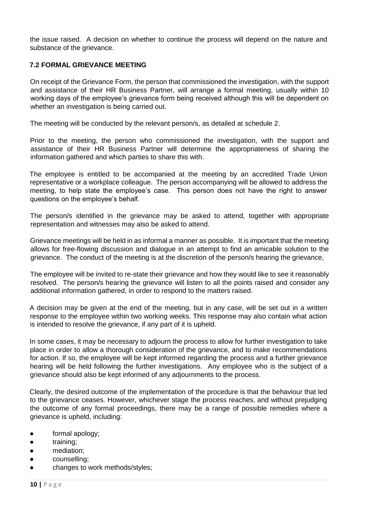the issue raised. A decision on whether to continue the process will depend on the nature and substance of the grievance.

### <span id="page-9-0"></span>**7.2 FORMAL GRIEVANCE MEETING**

On receipt of the Grievance Form, the person that commissioned the investigation, with the support and assistance of their HR Business Partner, will arrange a formal meeting, usually within 10 working days of the employee's grievance form being received although this will be dependent on whether an investigation is being carried out.

The meeting will be conducted by the relevant person/s, as detailed at schedule 2.

Prior to the meeting, the person who commissioned the investigation, with the support and assistance of their HR Business Partner will determine the appropriateness of sharing the information gathered and which parties to share this with.

The employee is entitled to be accompanied at the meeting by an accredited Trade Union representative or a workplace colleague. The person accompanying will be allowed to address the meeting, to help state the employee's case. This person does not have the right to answer questions on the employee's behalf.

The person/s identified in the grievance may be asked to attend, together with appropriate representation and witnesses may also be asked to attend.

Grievance meetings will be held in as informal a manner as possible. It is important that the meeting allows for free-flowing discussion and dialogue in an attempt to find an amicable solution to the grievance. The conduct of the meeting is at the discretion of the person/s hearing the grievance,

The employee will be invited to re-state their grievance and how they would like to see it reasonably resolved. The person/s hearing the grievance will listen to all the points raised and consider any additional information gathered, in order to respond to the matters raised.

A decision may be given at the end of the meeting, but in any case, will be set out in a written response to the employee within two working weeks. This response may also contain what action is intended to resolve the grievance, if any part of it is upheld.

In some cases, it may be necessary to adjourn the process to allow for further investigation to take place in order to allow a thorough consideration of the grievance, and to make recommendations for action. If so, the employee will be kept informed regarding the process and a further grievance hearing will be held following the further investigations. Any employee who is the subject of a grievance should also be kept informed of any adjournments to the process.

Clearly, the desired outcome of the implementation of the procedure is that the behaviour that led to the grievance ceases. However, whichever stage the process reaches, and without prejudging the outcome of any formal proceedings, there may be a range of possible remedies where a grievance is upheld, including:

- formal apology;
- training;
- mediation:
- counselling;
- changes to work methods/styles;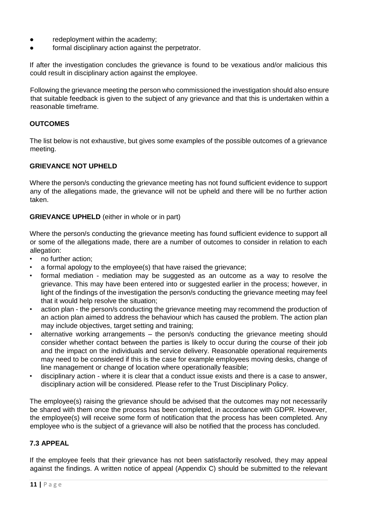- redeployment within the academy;
- formal disciplinary action against the perpetrator.

If after the investigation concludes the grievance is found to be vexatious and/or malicious this could result in disciplinary action against the employee.

Following the grievance meeting the person who commissioned the investigation should also ensure that suitable feedback is given to the subject of any grievance and that this is undertaken within a reasonable timeframe.

#### **OUTCOMES**

The list below is not exhaustive, but gives some examples of the possible outcomes of a grievance meeting.

#### **GRIEVANCE NOT UPHELD**

Where the person/s conducting the grievance meeting has not found sufficient evidence to support any of the allegations made, the grievance will not be upheld and there will be no further action taken.

#### **GRIEVANCE UPHELD** (either in whole or in part)

Where the person/s conducting the grievance meeting has found sufficient evidence to support all or some of the allegations made, there are a number of outcomes to consider in relation to each allegation:

- no further action;
- a formal apology to the employee(s) that have raised the grievance;
- formal mediation mediation may be suggested as an outcome as a way to resolve the grievance. This may have been entered into or suggested earlier in the process; however, in light of the findings of the investigation the person/s conducting the grievance meeting may feel that it would help resolve the situation;
- action plan the person/s conducting the grievance meeting may recommend the production of an action plan aimed to address the behaviour which has caused the problem. The action plan may include objectives, target setting and training;
- alternative working arrangements the person/s conducting the grievance meeting should consider whether contact between the parties is likely to occur during the course of their job and the impact on the individuals and service delivery. Reasonable operational requirements may need to be considered if this is the case for example employees moving desks, change of line management or change of location where operationally feasible;
- disciplinary action where it is clear that a conduct issue exists and there is a case to answer, disciplinary action will be considered. Please refer to the Trust Disciplinary Policy.

The employee(s) raising the grievance should be advised that the outcomes may not necessarily be shared with them once the process has been completed, in accordance with GDPR. However, the employee(s) will receive some form of notification that the process has been completed. Any employee who is the subject of a grievance will also be notified that the process has concluded.

#### <span id="page-10-0"></span>**7.3 APPEAL**

If the employee feels that their grievance has not been satisfactorily resolved, they may appeal against the findings. A written notice of appeal (Appendix C) should be submitted to the relevant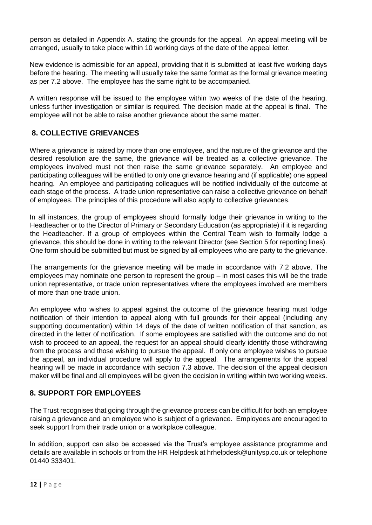person as detailed in Appendix A, stating the grounds for the appeal. An appeal meeting will be arranged, usually to take place within 10 working days of the date of the appeal letter.

New evidence is admissible for an appeal, providing that it is submitted at least five working days before the hearing. The meeting will usually take the same format as the formal grievance meeting as per 7.2 above. The employee has the same right to be accompanied.

A written response will be issued to the employee within two weeks of the date of the hearing, unless further investigation or similar is required. The decision made at the appeal is final. The employee will not be able to raise another grievance about the same matter.

# <span id="page-11-0"></span>**8. COLLECTIVE GRIEVANCES**

Where a grievance is raised by more than one employee, and the nature of the grievance and the desired resolution are the same, the grievance will be treated as a collective grievance. The employees involved must not then raise the same grievance separately. An employee and participating colleagues will be entitled to only one grievance hearing and (if applicable) one appeal hearing. An employee and participating colleagues will be notified individually of the outcome at each stage of the process. A trade union representative can raise a collective grievance on behalf of employees. The principles of this procedure will also apply to collective grievances.

In all instances, the group of employees should formally lodge their grievance in writing to the Headteacher or to the Director of Primary or Secondary Education (as appropriate) if it is regarding the Headteacher. If a group of employees within the Central Team wish to formally lodge a grievance, this should be done in writing to the relevant Director (see Section 5 for reporting lines). One form should be submitted but must be signed by all employees who are party to the grievance.

The arrangements for the grievance meeting will be made in accordance with 7.2 above. The employees may nominate one person to represent the group – in most cases this will be the trade union representative, or trade union representatives where the employees involved are members of more than one trade union.

An employee who wishes to appeal against the outcome of the grievance hearing must lodge notification of their intention to appeal along with full grounds for their appeal (including any supporting documentation) within 14 days of the date of written notification of that sanction, as directed in the letter of notification. If some employees are satisfied with the outcome and do not wish to proceed to an appeal, the request for an appeal should clearly identify those withdrawing from the process and those wishing to pursue the appeal. If only one employee wishes to pursue the appeal, an individual procedure will apply to the appeal. The arrangements for the appeal hearing will be made in accordance with section 7.3 above. The decision of the appeal decision maker will be final and all employees will be given the decision in writing within two working weeks.

# <span id="page-11-1"></span>**8. SUPPORT FOR EMPLOYEES**

The Trust recognises that going through the grievance process can be difficult for both an employee raising a grievance and an employee who is subject of a grievance. Employees are encouraged to seek support from their trade union or a workplace colleague.

In addition, support can also be accessed via the Trust's employee assistance programme and details are available in schools or from the HR Helpdesk at hrhelpdesk@unitysp.co.uk or telephone 01440 333401.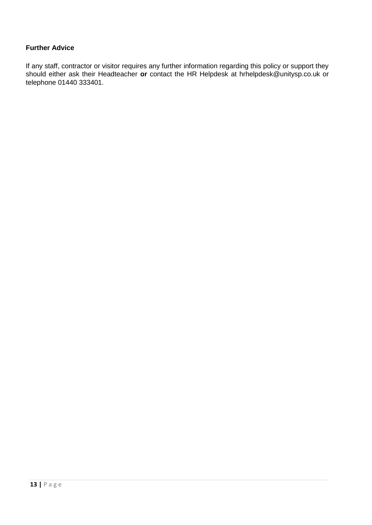### <span id="page-12-0"></span>**Further Advice**

If any staff, contractor or visitor requires any further information regarding this policy or support they should either ask their Headteacher **or** contact the HR Helpdesk at hrhelpdesk@unitysp.co.uk or telephone 01440 333401.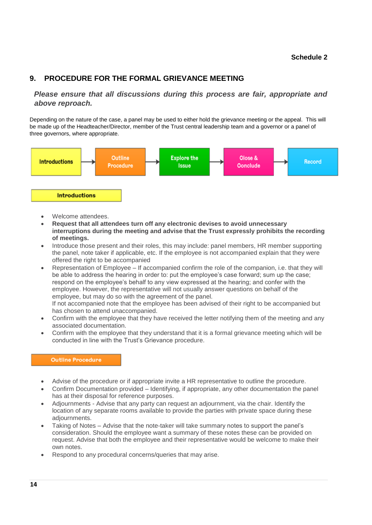#### **Schedule 2**

### <span id="page-13-0"></span>**9. PROCEDURE FOR THE FORMAL GRIEVANCE MEETING**

*Please ensure that all discussions during this process are fair, appropriate and above reproach.*

Depending on the nature of the case, a panel may be used to either hold the grievance meeting or the appeal. This will be made up of the Headteacher/Director, member of the Trust central leadership team and a governor or a panel of three governors, where appropriate.



- Welcome attendees.
- **Request that all attendees turn off any electronic devises to avoid unnecessary interruptions during the meeting and advise that the Trust expressly prohibits the recording of meetings.**
- Introduce those present and their roles, this may include: panel members, HR member supporting the panel, note taker if applicable, etc. If the employee is not accompanied explain that they were offered the right to be accompanied
- Representation of Employee If accompanied confirm the role of the companion, i.e. that they will be able to address the hearing in order to: put the employee's case forward; sum up the case; respond on the employee's behalf to any view expressed at the hearing; and confer with the employee. However, the representative will not usually answer questions on behalf of the employee, but may do so with the agreement of the panel. If not accompanied note that the employee has been advised of their right to be accompanied but has chosen to attend unaccompanied.
- Confirm with the employee that they have received the letter notifying them of the meeting and any associated documentation.
- Confirm with the employee that they understand that it is a formal grievance meeting which will be conducted in line with the Trust's Grievance procedure.

#### **Outline Procedure**

- Advise of the procedure or if appropriate invite a HR representative to outline the procedure.
- Confirm Documentation provided Identifying, if appropriate, any other documentation the panel has at their disposal for reference purposes.
- Adjournments Advise that any party can request an adjournment, via the chair. Identify the location of any separate rooms available to provide the parties with private space during these adjournments.
- Taking of Notes Advise that the note-taker will take summary notes to support the panel's consideration. Should the employee want a summary of these notes these can be provided on request. Advise that both the employee and their representative would be welcome to make their own notes.
- Respond to any procedural concerns/queries that may arise.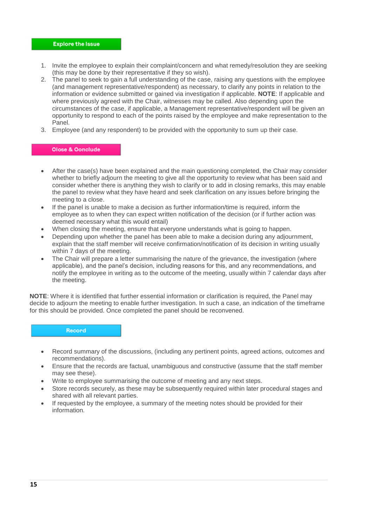- 1. Invite the employee to explain their complaint/concern and what remedy/resolution they are seeking (this may be done by their representative if they so wish).
- 2. The panel to seek to gain a full understanding of the case, raising any questions with the employee (and management representative/respondent) as necessary, to clarify any points in relation to the information or evidence submitted or gained via investigation if applicable. **NOTE**: If applicable and where previously agreed with the Chair, witnesses may be called. Also depending upon the circumstances of the case, if applicable, a Management representative/respondent will be given an opportunity to respond to each of the points raised by the employee and make representation to the Panel.
- 3. Employee (and any respondent) to be provided with the opportunity to sum up their case.

#### Olose & Oonclude

- After the case(s) have been explained and the main questioning completed, the Chair may consider whether to briefly adjourn the meeting to give all the opportunity to review what has been said and consider whether there is anything they wish to clarify or to add in closing remarks, this may enable the panel to review what they have heard and seek clarification on any issues before bringing the meeting to a close.
- If the panel is unable to make a decision as further information/time is required, inform the employee as to when they can expect written notification of the decision (or if further action was deemed necessary what this would entail)
- When closing the meeting, ensure that everyone understands what is going to happen.
- Depending upon whether the panel has been able to make a decision during any adjournment, explain that the staff member will receive confirmation/notification of its decision in writing usually within 7 days of the meeting.
- The Chair will prepare a letter summarising the nature of the grievance, the investigation (where applicable), and the panel's decision, including reasons for this, and any recommendations, and notify the employee in writing as to the outcome of the meeting, usually within 7 calendar days after the meeting.

**NOTE**: Where it is identified that further essential information or clarification is required, the Panel may decide to adjourn the meeting to enable further investigation. In such a case, an indication of the timeframe for this should be provided. Once completed the panel should be reconvened.

#### Record

- Record summary of the discussions, (including any pertinent points, agreed actions, outcomes and recommendations).
- Ensure that the records are factual, unambiguous and constructive (assume that the staff member may see these).
- Write to employee summarising the outcome of meeting and any next steps.
- Store records securely, as these may be subsequently required within later procedural stages and shared with all relevant parties.
- If requested by the employee, a summary of the meeting notes should be provided for their information.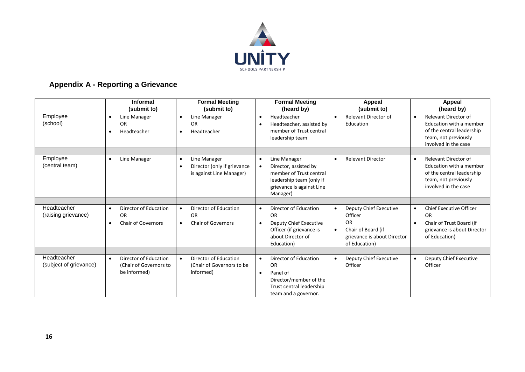

# **Appendix A - Reporting a Grievance**

<span id="page-15-0"></span>

|                                       | <b>Informal</b><br>(submit to)                                                            | <b>Formal Meeting</b><br>(submit to)                                                      | <b>Formal Meeting</b><br>(heard by)                                                                                                       | <b>Appeal</b><br>(submit to)                                                                                                                   | <b>Appeal</b><br>(heard by)                                                                                                                      |
|---------------------------------------|-------------------------------------------------------------------------------------------|-------------------------------------------------------------------------------------------|-------------------------------------------------------------------------------------------------------------------------------------------|------------------------------------------------------------------------------------------------------------------------------------------------|--------------------------------------------------------------------------------------------------------------------------------------------------|
| Employee<br>(school)                  | Line Manager<br>$\bullet$<br><b>OR</b><br>Headteacher<br>$\bullet$                        | Line Manager<br>$\bullet$<br><b>OR</b><br>Headteacher<br>$\bullet$                        | Headteacher<br>$\bullet$<br>Headteacher, assisted by<br>member of Trust central<br>leadership team                                        | <b>Relevant Director of</b><br>Education                                                                                                       | <b>Relevant Director of</b><br>$\bullet$<br>Education with a member<br>of the central leadership<br>team, not previously<br>involved in the case |
| Employee                              | Line Manager<br>$\bullet$                                                                 | Line Manager<br>$\bullet$                                                                 | Line Manager<br>$\bullet$                                                                                                                 | <b>Relevant Director</b><br>$\bullet$                                                                                                          | Relevant Director of<br>$\bullet$                                                                                                                |
| (central team)                        |                                                                                           | Director (only if grievance<br>$\bullet$<br>is against Line Manager)                      | Director, assisted by<br>member of Trust central<br>leadership team (only if<br>grievance is against Line<br>Manager)                     |                                                                                                                                                | Education with a member<br>of the central leadership<br>team, not previously<br>involved in the case                                             |
|                                       |                                                                                           |                                                                                           |                                                                                                                                           |                                                                                                                                                |                                                                                                                                                  |
| Headteacher<br>(raising grievance)    | Director of Education<br>$\bullet$<br><b>OR</b><br><b>Chair of Governors</b><br>$\bullet$ | Director of Education<br>$\bullet$<br><b>OR</b><br><b>Chair of Governors</b><br>$\bullet$ | Director of Education<br>$\bullet$<br><b>OR</b><br>Deputy Chief Executive<br>Officer (if grievance is<br>about Director of<br>Education)  | Deputy Chief Executive<br>$\bullet$<br>Officer<br><b>OR</b><br>Chair of Board (if<br>$\bullet$<br>grievance is about Director<br>of Education) | <b>Chief Executive Officer</b><br>$\bullet$<br>OR<br>Chair of Trust Board (if<br>$\bullet$<br>grievance is about Director<br>of Education)       |
|                                       |                                                                                           |                                                                                           |                                                                                                                                           |                                                                                                                                                |                                                                                                                                                  |
| Headteacher<br>(subject of grievance) | Director of Education<br>$\bullet$<br>(Chair of Governors to<br>be informed)              | Director of Education<br>$\bullet$<br>(Chair of Governors to be<br>informed)              | Director of Education<br>$\bullet$<br><b>OR</b><br>Panel of<br>Director/member of the<br>Trust central leadership<br>team and a governor. | Deputy Chief Executive<br>$\bullet$<br>Officer                                                                                                 | Deputy Chief Executive<br>$\bullet$<br>Officer                                                                                                   |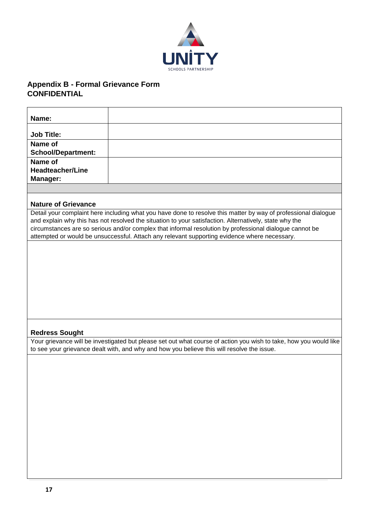

# <span id="page-16-0"></span>**Appendix B - Formal Grievance Form CONFIDENTIAL**

| Name:                                          |                                                                                                                                                                                                                                                                                                                                                                                                                                     |
|------------------------------------------------|-------------------------------------------------------------------------------------------------------------------------------------------------------------------------------------------------------------------------------------------------------------------------------------------------------------------------------------------------------------------------------------------------------------------------------------|
| <b>Job Title:</b>                              |                                                                                                                                                                                                                                                                                                                                                                                                                                     |
| Name of<br><b>School/Department:</b>           |                                                                                                                                                                                                                                                                                                                                                                                                                                     |
| Name of<br><b>Headteacher/Line</b><br>Manager: |                                                                                                                                                                                                                                                                                                                                                                                                                                     |
|                                                |                                                                                                                                                                                                                                                                                                                                                                                                                                     |
| <b>Nature of Grievance</b>                     |                                                                                                                                                                                                                                                                                                                                                                                                                                     |
|                                                | Detail your complaint here including what you have done to resolve this matter by way of professional dialogue<br>and explain why this has not resolved the situation to your satisfaction. Alternatively, state why the<br>circumstances are so serious and/or complex that informal resolution by professional dialogue cannot be<br>attempted or would be unsuccessful. Attach any relevant supporting evidence where necessary. |
|                                                |                                                                                                                                                                                                                                                                                                                                                                                                                                     |
|                                                |                                                                                                                                                                                                                                                                                                                                                                                                                                     |
|                                                |                                                                                                                                                                                                                                                                                                                                                                                                                                     |
|                                                |                                                                                                                                                                                                                                                                                                                                                                                                                                     |
|                                                |                                                                                                                                                                                                                                                                                                                                                                                                                                     |
|                                                |                                                                                                                                                                                                                                                                                                                                                                                                                                     |
|                                                |                                                                                                                                                                                                                                                                                                                                                                                                                                     |
| <b>Redress Sought</b>                          |                                                                                                                                                                                                                                                                                                                                                                                                                                     |
|                                                | Your grievance will be investigated but please set out what course of action you wish to take, how you would like                                                                                                                                                                                                                                                                                                                   |
|                                                | to see your grievance dealt with, and why and how you believe this will resolve the issue.                                                                                                                                                                                                                                                                                                                                          |
|                                                |                                                                                                                                                                                                                                                                                                                                                                                                                                     |
|                                                |                                                                                                                                                                                                                                                                                                                                                                                                                                     |
|                                                |                                                                                                                                                                                                                                                                                                                                                                                                                                     |
|                                                |                                                                                                                                                                                                                                                                                                                                                                                                                                     |
|                                                |                                                                                                                                                                                                                                                                                                                                                                                                                                     |
|                                                |                                                                                                                                                                                                                                                                                                                                                                                                                                     |
|                                                |                                                                                                                                                                                                                                                                                                                                                                                                                                     |
|                                                |                                                                                                                                                                                                                                                                                                                                                                                                                                     |
|                                                |                                                                                                                                                                                                                                                                                                                                                                                                                                     |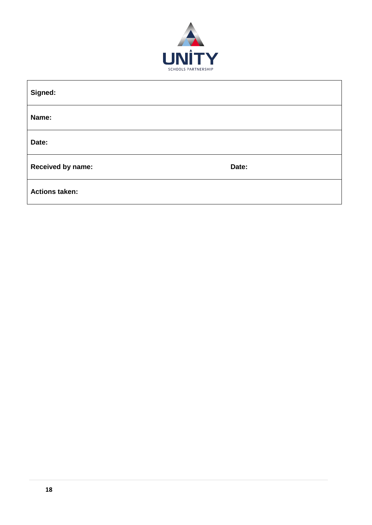

| Signed:                  |       |
|--------------------------|-------|
| Name:                    |       |
| Date:                    |       |
| <b>Received by name:</b> | Date: |
| <b>Actions taken:</b>    |       |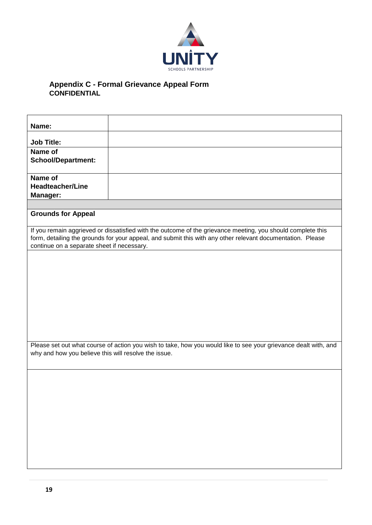

#### <span id="page-18-0"></span>**Appendix C - Formal Grievance Appeal Form CONFIDENTIAL**

| Name:                                                 |                                                                                                                                                                                                                           |
|-------------------------------------------------------|---------------------------------------------------------------------------------------------------------------------------------------------------------------------------------------------------------------------------|
| <b>Job Title:</b>                                     |                                                                                                                                                                                                                           |
| Name of<br><b>School/Department:</b>                  |                                                                                                                                                                                                                           |
| Name of<br><b>Headteacher/Line</b><br><b>Manager:</b> |                                                                                                                                                                                                                           |
|                                                       |                                                                                                                                                                                                                           |
| <b>Grounds for Appeal</b>                             |                                                                                                                                                                                                                           |
| continue on a separate sheet if necessary.            | If you remain aggrieved or dissatisfied with the outcome of the grievance meeting, you should complete this<br>form, detailing the grounds for your appeal, and submit this with any other relevant documentation. Please |
|                                                       |                                                                                                                                                                                                                           |
| why and how you believe this will resolve the issue.  | Please set out what course of action you wish to take, how you would like to see your grievance dealt with, and                                                                                                           |
|                                                       |                                                                                                                                                                                                                           |